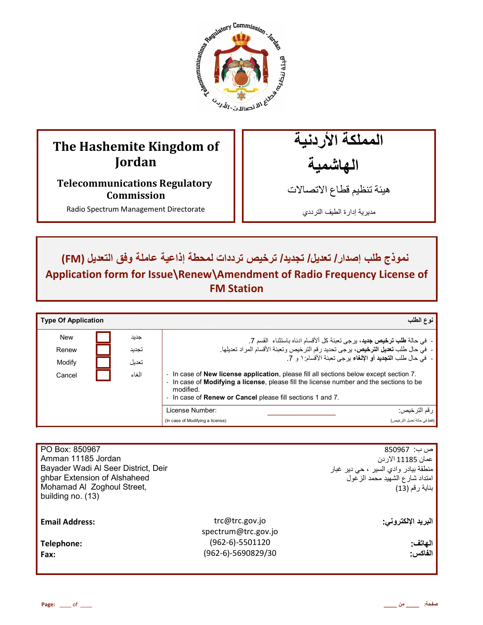

# **The Hashemite Kingdom of Jordan**

**Telecommunications Regulatory Commission** 

Radio Spectrum Management Directorate

المملكة الأردنية الـهاشمية

هيئة تنظيم قطاع الاتصـالات

مديرية إدارة الطيف الترددي

 $Im$  نموذج طلب إصدار/ تعديل/ تجديد/ ترخيص ترددات لمحطة إذاعية عاملة وفق التعديل (FM) **Application form for Issue\Renew\Amendment of Radio Frequency License of FM Station** 

| <b>Type Of Application</b> |       | نوع الطلب                                                                                                                                                                                                                                                                          |
|----------------------------|-------|------------------------------------------------------------------------------------------------------------------------------------------------------------------------------------------------------------------------------------------------------------------------------------|
| <b>New</b>                 | جديد  | - في حالة <b>طلب ترخيص جديد</b> ، برجي تعبئة كل ألأقسام ادناه باستثناء  القسم 7.                                                                                                                                                                                                   |
| Renew                      | تجديد | -  في حال طلب تعديل الترخيص، يرجى تحديد رقم الترخيص وتعبئة الأقسام المراد تعديلها.                                                                                                                                                                                                 |
| Modify                     | تعدبل | -  في حال طلب ا <b>لتجديد</b> أو الإلغاء يرجى تعبئة الأقسام: ١ و 7.                                                                                                                                                                                                                |
| Cancel                     | الغاء | - In case of <b>New license application</b> , please fill all sections below except section 7.<br>- In case of <b>Modifying a license</b> , please fill the license number and the sections to be<br>modified<br>- In case of <b>Renew or Cancel</b> please fill sections 1 and 7. |
|                            |       | License Number:<br>ر قم التر خيص:                                                                                                                                                                                                                                                  |
|                            |       | (فقط في حالة تعديل التر خيص)<br>(In case of Modifying a license)                                                                                                                                                                                                                   |

| PO Box: 850967<br>Amman 11185 Jordan<br>Bayader Wadi Al Seer District, Deir<br>ghbar Extension of Alshaheed<br>Mohamad Al Zoghoul Street,<br>building no. (13) |                                       | ص ب:  850967<br>عمان 11185 الار دن<br>منطقة بيادر وادي السير ، حي دير غبار<br>امتداد شارع الشهيد محمد الزغول<br>بناية رقم (13) |
|----------------------------------------------------------------------------------------------------------------------------------------------------------------|---------------------------------------|--------------------------------------------------------------------------------------------------------------------------------|
| <b>Email Address:</b>                                                                                                                                          | trc@trc.gov.jo<br>spectrum@trc.gov.jo | البريد الإلكتروني:                                                                                                             |
| Telephone:                                                                                                                                                     | (962-6)-5501120                       | الهاتف:                                                                                                                        |
| Fax:                                                                                                                                                           | (962-6)-5690829/30                    | الفاكس:                                                                                                                        |
|                                                                                                                                                                |                                       |                                                                                                                                |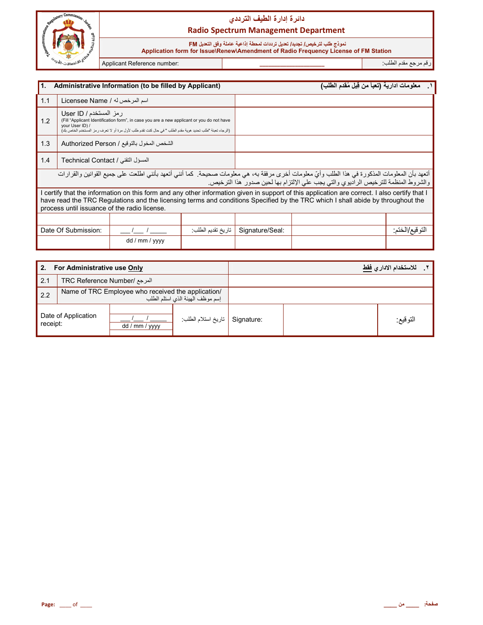

#### نموذج طلب لترخيص/ تجديد/ تعديل ترددات لمحطة إذاعية عاملة وفق التعديل FM

 **Application form for Issue\Renew\Amendment of Radio Frequency License of FM Station**

رم رg' دم اط+ب: **\_\_\_\_\_\_\_\_\_\_\_\_\_\_\_\_\_\_\_\_\_\_** :number Reference Applicant

İ

| I 1.                                                                                                                                                                                                                                 |                                                                                                                                                                                                                                                                                                                                  | Administrative Information (to be filled by Applicant) |                   |                 | معلومات ادارية (تعبأ من قِبل مُقدم الطلب) |                |
|--------------------------------------------------------------------------------------------------------------------------------------------------------------------------------------------------------------------------------------|----------------------------------------------------------------------------------------------------------------------------------------------------------------------------------------------------------------------------------------------------------------------------------------------------------------------------------|--------------------------------------------------------|-------------------|-----------------|-------------------------------------------|----------------|
| 1.1                                                                                                                                                                                                                                  | اسم المرخص له / Licensee Name                                                                                                                                                                                                                                                                                                    |                                                        |                   |                 |                                           |                |
| 1.2                                                                                                                                                                                                                                  | رمز المستخدم / User ID<br>(Fill "Applicant Identification form", in case you are a new applicant or you do not have<br>vour User ID) /<br>(الرجاء تعبئة "طلب تحديد هوية مقدم الطلب " في حال كنت تقدم طلب لأول مرة أو لا تعرف رمز المستخدم الخاص بك)                                                                              |                                                        |                   |                 |                                           |                |
| 1.3                                                                                                                                                                                                                                  | الشخص المخول بالتوقيع / Authorized Person                                                                                                                                                                                                                                                                                        |                                                        |                   |                 |                                           |                |
| 1.4                                                                                                                                                                                                                                  | المسؤل التقني / Technical Contact                                                                                                                                                                                                                                                                                                |                                                        |                   |                 |                                           |                |
| أتعهد بأن المعلومات المذكورة في هذا الطلب وأيّ معلومات أخرى مرفقة به، هي معلومات صحيحة. كما أنني أتعهد بأنني اطلعت على جميع القوانين والقرارات<br>والشروط المنظمة للترخيص الراديوي والتي يجب على الإلتزام بها لحين صدور هذا الترخيص. |                                                                                                                                                                                                                                                                                                                                  |                                                        |                   |                 |                                           |                |
|                                                                                                                                                                                                                                      | I certify that the information on this form and any other information given in support of this application are correct. I also certify that I<br>have read the TRC Regulations and the licensing terms and conditions Specified by the TRC which I shall abide by throughout the<br>process until issuance of the radio license. |                                                        |                   |                 |                                           |                |
|                                                                                                                                                                                                                                      |                                                                                                                                                                                                                                                                                                                                  |                                                        |                   |                 |                                           |                |
|                                                                                                                                                                                                                                      | Date Of Submission:                                                                                                                                                                                                                                                                                                              |                                                        | تاريخ تقديم الطلب | Signature/Seal: |                                           | التوقيع/الختم: |
|                                                                                                                                                                                                                                      |                                                                                                                                                                                                                                                                                                                                  | dd / mm / yyyy                                         |                   |                 |                                           |                |

| For Administrative use Only<br>2. |                                                                                        |                |                     |            | للاستخدام الادار ي <u>فقط</u> |
|-----------------------------------|----------------------------------------------------------------------------------------|----------------|---------------------|------------|-------------------------------|
| 2.1                               | المرجع /TRC Reference Number                                                           |                |                     |            |                               |
| 2.2                               | Name of TRC Employee who received the application/<br>إسم موظف الهيئة الذي استلم الطلب |                |                     |            |                               |
| Date of Application<br>receipt:   |                                                                                        | dd / mm / yyyy | تاريخ استلام الطلب: | Signature: | التوقيع:                      |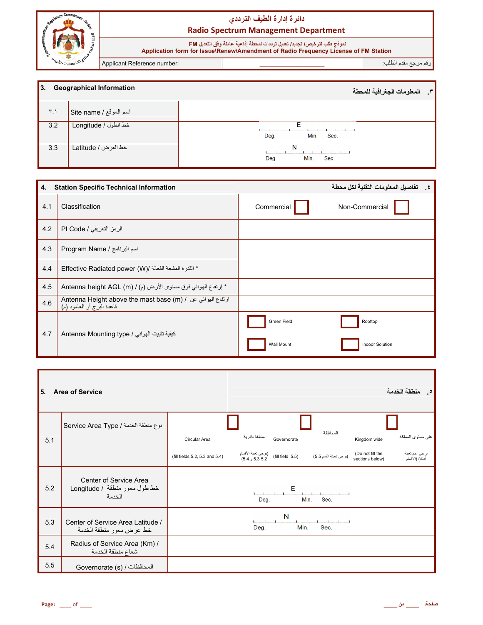

نموذج طلب لترخيص/ تجديد/ تعديل ترددات لمحطة إذاعية عاملة وفق التعديل FM<br>Application form for Issue\Renew\Amendment of Radio Frequency License of FM Station

Applicant Reference number:

رقم مرجع مقدم الطلب<sup>.</sup>

| <b>1</b> 3.<br><b>Geographical Information</b> |                        | المعلومات الجغرافية للمحطة<br>$\mathbf{r}$ |
|------------------------------------------------|------------------------|--------------------------------------------|
| $\mathbf{r}$                                   | اسم الموقع / Site name |                                            |
| 3.2                                            | خط الطول / Longitude   | Min.<br>Deg.<br>Sec.                       |
| 3.3                                            | خط العرض / Latitude    | N<br>Deg.<br>Min.<br>Sec.                  |

| 4.  | <b>Station Specific Technical Information</b>                                                                                 |                           | تفاصيل المعلومات التقنية لكل محطة |
|-----|-------------------------------------------------------------------------------------------------------------------------------|---------------------------|-----------------------------------|
| 4.1 | <b>Classification</b>                                                                                                         | Commercial                | Non-Commercial                    |
| 4.2 | الرمز التعريفي / PI Code                                                                                                      |                           |                                   |
| 4.3 | Program Name / اسم البرنامج                                                                                                   |                           |                                   |
| 4.4 | * القدرة المشعة الفعالة /(Effective Radiated power (W                                                                         |                           |                                   |
| 4.5 | * إرتفاع الهوائي فوق مستوى الأرض (م) / Antenna height AGL (m)                                                                 |                           |                                   |
| 4.6 | Antenna Height above the mast base (m) / ارتفاع الهوائي عن / Antenna Height above the mast base<br>قاعدة البرج أو العامود (م) |                           |                                   |
| 4.7 | كيفية تثبيت الهوائي / Antenna Mounting type                                                                                   | Green Field<br>Wall Mount | Rooftop<br><b>Indoor Solution</b> |

| I 5. | <b>Area of Service</b>                                            |                                |                                       |                  |                        |                                     | منطقة الخدمة<br>$\bullet$         |
|------|-------------------------------------------------------------------|--------------------------------|---------------------------------------|------------------|------------------------|-------------------------------------|-----------------------------------|
|      | نوع منطقة الخدمة / Service Area Type                              |                                |                                       |                  | المحافظة               |                                     |                                   |
| 5.1  |                                                                   | Circular Area                  | منطقة دائر بة                         | Governorate      |                        | Kingdom wide                        | على مستوى المملكة                 |
|      |                                                                   | (fill fields 5.2, 5.3 and 5.4) | (برجى تعبئة الأقسام<br>5.3 5.2 و 5.4) | (fill field 5.5) | (يرجى تعبئة القسم 5.5) | (Do not fill the<br>sections below) | يرجى عدم تعبثة<br>أدناه) (الأقسام |
| 5.2  | Center of Service Area<br>خط طول محور منطقة / Longitude<br>الخدمة |                                | Deg.                                  | Е                | Min.<br>Sec.           |                                     |                                   |
| 5.3  | Center of Service Area Latitude /<br>خط عرض محور منطقة الخدمة     |                                | Deg.                                  | N<br>Min.        | Sec.                   |                                     |                                   |
| 5.4  | Radius of Service Area (Km) /<br>شعاع منطقة الخدمة                |                                |                                       |                  |                        |                                     |                                   |
| 5.5  | المحافظات / (Governorate (s                                       |                                |                                       |                  |                        |                                     |                                   |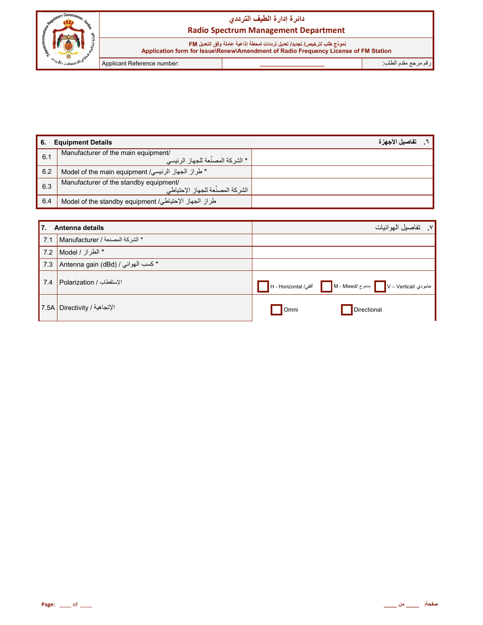

نموذج طلب لترخيص/ تجديد/ تعديل ترددات لمحطة إذاعية عاملة وفق التعديل FM  **Application form for Issue\Renew\Amendment of Radio Frequency License of FM Station**

رم رg' دم اط+ب: **\_\_\_\_\_\_\_\_\_\_\_\_\_\_\_\_\_\_\_\_\_\_** :number Reference Applicant

| -6. | <b>Equipment Details</b>                                                    | تفاصيل الأجهز ة |
|-----|-----------------------------------------------------------------------------|-----------------|
| 6.1 | Manufacturer of the main equipment/<br>. * الشر كة المصنِّعة للجهاز الرئيسي |                 |
| 6.2 | * طراز الجهاز الرئيسي/ Model of the main equipment                          |                 |
| 6.3 | Manufacturer of the standby equipment/<br>الشركة المصنِّعة للجهاز الإحتياطي |                 |
| 6.4 | طراز الجهاز الإحتياطي/ Model of the standby equipment                       |                 |

| <b>1</b> 7. | Antenna details                    |      | V_ تفاصيل الهوائيات                                               |
|-------------|------------------------------------|------|-------------------------------------------------------------------|
| 7.1         | * الشركة المصنعة / Manufacturer    |      |                                                                   |
| 7.2         | * الطراز / Model                   |      |                                                                   |
| 7.3         | * كسب الهوائي / Antenna gain (dBd) |      |                                                                   |
| 7.4         | الإستقطاب / Polarization           |      | عامودي /v – Vertical / مدموج /M - Mixed أفقي/ H - Horizontal أفقي |
|             | الإتجاهية / Directivity   7.5A     | Omni | Directional                                                       |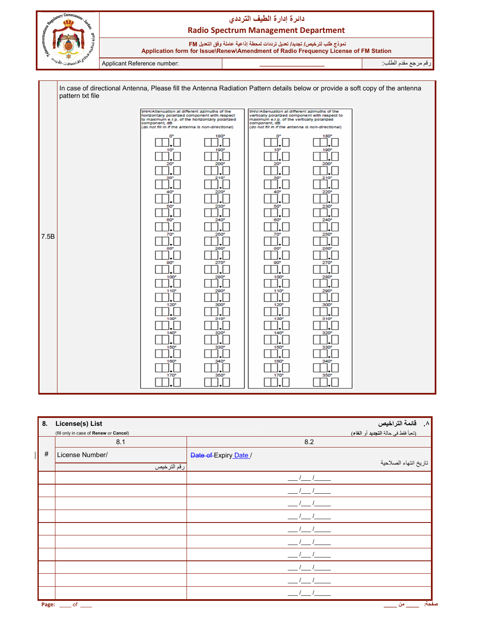

نموذج طلب لترخيص/ تجديد/ تعديل ترددات لمحطة إذاعية عاملة وفق التعديل FM  **Application form for Issue\Renew\Amendment of Radio Frequency License of FM Station**

رم رg' دم اط+ب: **\_\_\_\_\_\_\_\_\_\_\_\_\_\_\_\_\_\_\_\_\_\_** :number Reference Applicant

|      | pattern txt file | In case of directional Antenna, Please fill the Antenna Radiation Pattern details below or provide a soft copy of the antenna                                                                                           |                                                  |                                                                                                                                                                                                                     |                                                              |  |
|------|------------------|-------------------------------------------------------------------------------------------------------------------------------------------------------------------------------------------------------------------------|--------------------------------------------------|---------------------------------------------------------------------------------------------------------------------------------------------------------------------------------------------------------------------|--------------------------------------------------------------|--|
|      |                  | 9NH/Attenuation at different azimuths of the<br>horizontally polarized component with respect<br>to maximum e.r.p. of the horizontally polarized<br>component, dB<br>(do not fill in if the antenna is non-directional) |                                                  | 9NV/Attenuation at different azimuths of the<br>vertically polarized component with respect to<br>maximum e.r.p. of the vertically polarized<br>component, dB<br>(do not fill in if the antenna is non-directional) |                                                              |  |
|      |                  | O°<br>10 <sup>o</sup><br>20 <sup>o</sup><br>30<br>40                                                                                                                                                                    | 180°<br>190°<br>200°<br>210 <sup>o</sup><br>220° | o.<br>10 <sup>°</sup><br>20 <sup>o</sup><br>30 <sup>o</sup><br>40                                                                                                                                                   | $180^\circ$<br>$190^\circ$<br>200<br>210 <sup>o</sup><br>220 |  |
| 7.5B |                  | 50<br>60<br>70 <sup>°</sup><br>80 <sup>o</sup><br>90 <sup>o</sup>                                                                                                                                                       | 230°<br>240°<br>250°<br>260*<br>270°             | 50°<br>60°<br>70°<br>80°<br>90 <sup>o</sup>                                                                                                                                                                         | 230°<br>$240^\circ$<br>250°<br>260°<br>270°                  |  |
|      |                  | 100<br>110°<br>120°<br>130°                                                                                                                                                                                             | 280°<br>290°<br>300°<br>310 <sup>o</sup>         | $100^\circ$<br>110<br>120°<br>130°                                                                                                                                                                                  | 280<br>290<br>300°<br>$310^{\circ}$                          |  |
|      |                  | $140^\circ$<br>$150^\circ$<br>160°<br>170°                                                                                                                                                                              | 320°<br>330°<br>340°<br>350°                     | 140°<br>150°<br>160°<br>170°                                                                                                                                                                                        | 320°<br>330°<br>$340^\circ$<br>350°                          |  |

| 8.    | License(s) List                              |                               | ۸. قائمة التراخيص                   |
|-------|----------------------------------------------|-------------------------------|-------------------------------------|
|       | (fill only in case of Renew or Cancel)       |                               | (تعبأ فقط في حالة التجديد أو الغاء) |
|       | 8.1                                          | 8.2                           |                                     |
| #     | License Number/                              | Date of Expiry Date /         |                                     |
|       | رقم الترخيص                                  |                               | تاريخ انتهاء الصلاحية               |
|       |                                              | $-1$ $-1$                     |                                     |
|       |                                              |                               |                                     |
|       |                                              |                               |                                     |
|       |                                              |                               |                                     |
|       |                                              | $\frac{1}{2}$ / $\frac{1}{2}$ |                                     |
|       |                                              |                               |                                     |
|       |                                              |                               |                                     |
|       |                                              |                               |                                     |
|       |                                              |                               |                                     |
|       |                                              |                               |                                     |
| Page: | $\rule{1em}{0.15mm}$ of $\rule{1em}{0.15mm}$ |                               | صفحة:<br>ا من                       |